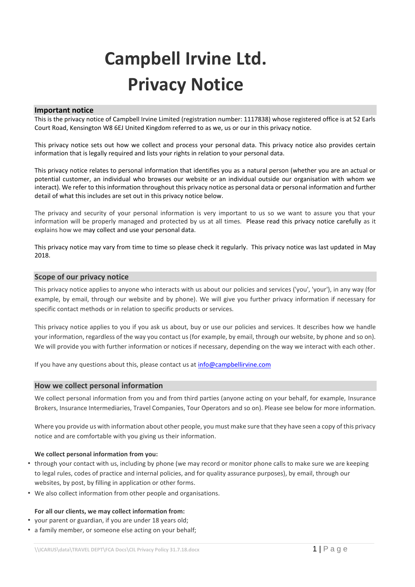# **Campbell Irvine Ltd. Privacy Notice**

#### **Important notice**

This is the privacy notice of Campbell Irvine Limited (registration number: 1117838) whose registered office is at 52 Earls Court Road, Kensington W8 6EJ United Kingdom referred to as we, us or our in this privacy notice.

This privacy notice sets out how we collect and process your personal data. This privacy notice also provides certain information that is legally required and lists your rights in relation to your personal data.

This privacy notice relates to personal information that identifies you as a natural person (whether you are an actual or potential customer, an individual who browses our website or an individual outside our organisation with whom we interact). We refer to this information throughout this privacy notice as personal data or personal information and further detail of what this includes are set out in this privacy notice below.

The privacy and security of your personal information is very important to us so we want to assure you that your information will be properly managed and protected by us at all times. Please read this privacy notice carefully as it explains how we may collect and use your personal data.

This privacy notice may vary from time to time so please check it regularly. This privacy notice was last updated in May 2018.

#### **Scope of our privacy notice**

This privacy notice applies to anyone who interacts with us about our policies and services ('you', 'your'), in any way (for example, by email, through our website and by phone). We will give you further privacy information if necessary for specific contact methods or in relation to specific products or services.

This privacy notice applies to you if you ask us about, buy or use our policies and services. It describes how we handle your information, regardless of the way you contact us (for example, by email, through our website, by phone and so on). We will provide you with further information or notices if necessary, depending on the way we interact with each other.

If you have any questions about this, please contact us at [info@campbellirvine.com](mailto:info@campbellirvine.com)

#### **How we collect personal information**

We collect personal information from you and from third parties (anyone acting on your behalf, for example, Insurance Brokers, Insurance Intermediaries, Travel Companies, Tour Operators and so on). Please see below for more information.

Where you provide us with information about other people, you must make sure that they have seen a copy of this privacy notice and are comfortable with you giving us their information.

#### **We collect personal information from you:**

- through your contact with us, including by phone (we may record or monitor phone calls to make sure we are keeping to legal rules, codes of practice and internal policies, and for quality assurance purposes), by email, through our websites, by post, by filling in application or other forms.
- We also collect information from other people and organisations.

#### **For all our clients, we may collect information from:**

- your parent or guardian, if you are under 18 years old;
- a family member, or someone else acting on your behalf;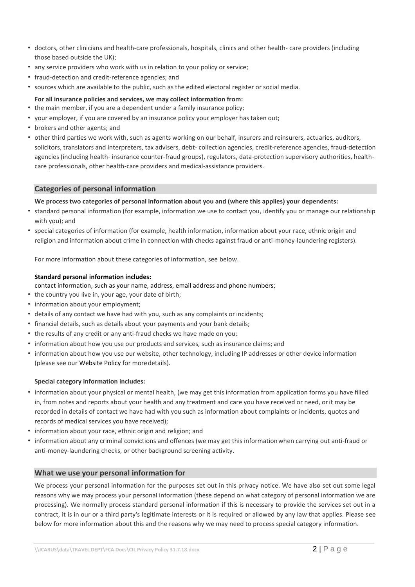- doctors, other clinicians and health-care professionals, hospitals, clinics and other health- care providers (including those based outside the UK);
- any service providers who work with us in relation to your policy or service;
- fraud-detection and credit-reference agencies; and
- sources which are available to the public, such as the edited electoral register or social media.
- **For all insurance policies and services, we may collect information from:**
- the main member, if you are a dependent under a family insurance policy;
- your employer, if you are covered by an insurance policy your employer has taken out;
- brokers and other agents; and
- other third parties we work with, such as agents working on our behalf, insurers and reinsurers, actuaries, auditors, solicitors, translators and interpreters, tax advisers, debt- collection agencies, credit-reference agencies, fraud-detection agencies (including health- insurance counter-fraud groups), regulators, data-protection supervisory authorities, healthcare professionals, other health-care providers and medical-assistance providers.

# **Categories of personal information**

#### **We process two categories of personal information about you and (where this applies) your dependents:**

- standard personal information (for example, information we use to contact you, identify you or manage our relationship with you); and
- special categories of information (for example, health information, information about your race, ethnic origin and religion and information about crime in connection with checks against fraud or anti-money-laundering registers).

For more information about these categories of information, see below.

#### **Standard personal information includes:**

## contact information, such as your name, address, email address and phone numbers;

- the country you live in, your age, your date of birth;
- information about your employment;
- details of any contact we have had with you, such as any complaints or incidents;
- financial details, such as details about your payments and your bank details;
- the results of any credit or any anti-fraud checks we have made on you;
- information about how you use our products and services, such as insurance claims; and
- information about how you use our website, other technology, including IP addresses or other device information (please see our Website Policy for moredetails).

## **Special category information includes:**

- information about your physical or mental health, (we may get this information from application forms you have filled in, from notes and reports about your health and any treatment and care you have received or need, orit may be recorded in details of contact we have had with you such as information about complaints or incidents, quotes and records of medical services you have received);
- information about your race, ethnic origin and religion; and
- information about any criminal convictions and offences (we may get this informationwhen carrying out anti-fraud or anti-money-laundering checks, or other background screening activity.

## **What we use your personal information for**

We process your personal information for the purposes set out in this privacy notice. We have also set out some legal reasons why we may process your personal information (these depend on what category of personal information we are processing). We normally process standard personal information if this is necessary to provide the services set out in a contract, it is in our or a third party's legitimate interests or it is required or allowed by any law that applies. Please see below for more information about this and the reasons why we may need to process special category information.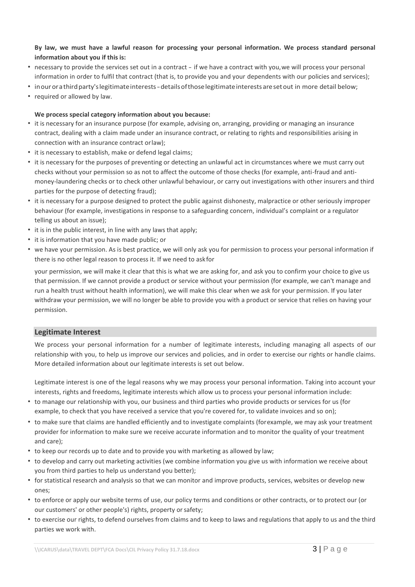## **By law, we must have a lawful reason for processing your personal information. We process standard personal information about you if this is:**

- necessary to provide the services set out in a contract if we have a contract with you,we will process your personal information in order to fulfil that contract (that is, to provide you and your dependents with our policies and services);
- inourorathirdparty'slegitimateinterests-detailsofthoselegitimateinterestsaresetout in more detail below;
- required or allowed by law.

#### **We process special category information about you because:**

- it is necessary for an insurance purpose (for example, advising on, arranging, providing or managing an insurance contract, dealing with a claim made under an insurance contract, or relating to rights and responsibilities arising in connection with an insurance contract orlaw);
- it is necessary to establish, make or defend legal claims;
- it is necessary for the purposes of preventing or detecting an unlawful act in circumstances where we must carry out checks without your permission so as not to affect the outcome of those checks (for example, anti-fraud and antimoney-laundering checks or to check other unlawful behaviour, or carry out investigations with other insurers and third parties for the purpose of detecting fraud);
- it is necessary for a purpose designed to protect the public against dishonesty, malpractice or other seriously improper behaviour (for example, investigations in response to a safeguarding concern, individual's complaint or a regulator telling us about an issue);
- it is in the public interest, in line with any laws that apply;
- it is information that you have made public; or
- we have your permission. As is best practice, we will only ask you for permission to process your personal information if there is no other legal reason to process it. If we need to askfor

your permission, we will make it clear that this is what we are asking for, and ask you to confirm your choice to give us that permission. If we cannot provide a product or service without your permission (for example, we can't manage and run a health trust without health information), we will make this clear when we ask for your permission. If you later withdraw your permission, we will no longer be able to provide you with a product or service that relies on having your permission.

## **Legitimate Interest**

We process your personal information for a number of legitimate interests, including managing all aspects of our relationship with you, to help us improve our services and policies, and in order to exercise our rights or handle claims. More detailed information about our legitimate interests is set out below.

Legitimate interest is one of the legal reasons why we may process your personal information. Taking into account your interests, rights and freedoms, legitimate interests which allow us to process your personal information include:

- to manage our relationship with you, our business and third parties who provide products or services for us (for example, to check that you have received a service that you're covered for, to validate invoices and so on);
- to make sure that claims are handled efficiently and to investigate complaints (forexample, we may ask your treatment provider for information to make sure we receive accurate information and to monitor the quality of your treatment and care);
- to keep our records up to date and to provide you with marketing as allowed by law;
- to develop and carry out marketing activities (we combine information you give us with information we receive about you from third parties to help us understand you better);
- for statistical research and analysis so that we can monitor and improve products, services, websites or develop new ones;
- to enforce or apply our website terms of use, our policy terms and conditions or other contracts, or to protect our (or our customers' or other people's) rights, property or safety;
- to exercise our rights, to defend ourselves from claims and to keep to laws and regulations that apply to us and the third parties we work with.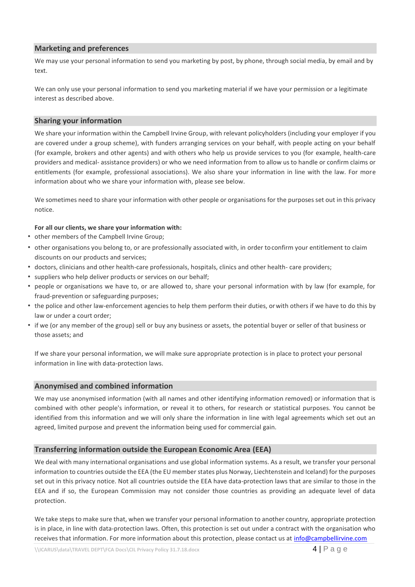# **Marketing and preferences**

We may use your personal information to send you marketing by post, by phone, through social media, by email and by text.

We can only use your personal information to send you marketing material if we have your permission or a legitimate interest as described above.

## **Sharing your information**

We share your information within the Campbell Irvine Group, with relevant policyholders (including your employer if you are covered under a group scheme), with funders arranging services on your behalf, with people acting on your behalf (for example, brokers and other agents) and with others who help us provide services to you (for example, health-care providers and medical- assistance providers) or who we need information from to allow us to handle or confirm claims or entitlements (for example, professional associations). We also share your information in line with the law. For more information about who we share your information with, please see below.

We sometimes need to share your information with other people or organisations for the purposes set out in this privacy notice.

#### **For all our clients, we share your information with:**

- other members of the Campbell Irvine Group;
- other organisations you belong to, or are professionally associated with, in order toconfirm your entitlement to claim discounts on our products and services;
- doctors, clinicians and other health-care professionals, hospitals, clinics and other health- care providers;
- suppliers who help deliver products or services on our behalf;
- people or organisations we have to, or are allowed to, share your personal information with by law (for example, for fraud-prevention or safeguarding purposes;
- the police and other law-enforcement agencies to help them perform their duties, orwith others if we have to do this by law or under a court order;
- if we (or any member of the group) sell or buy any business or assets, the potential buyer or seller of that business or those assets; and

If we share your personal information, we will make sure appropriate protection is in place to protect your personal information in line with data-protection laws.

## **Anonymised and combined information**

We may use anonymised information (with all names and other identifying information removed) or information that is combined with other people's information, or reveal it to others, for research or statistical purposes. You cannot be identified from this information and we will only share the information in line with legal agreements which set out an agreed, limited purpose and prevent the information being used for commercial gain.

## **Transferring information outside the European Economic Area (EEA)**

We deal with many international organisations and use global information systems. As a result, we transfer your personal information to countries outside the EEA (the EU member states plus Norway, Liechtenstein and Iceland) for the purposes set out in this privacy notice. Not all countries outside the EEA have data-protection laws that are similar to those in the EEA and if so, the European Commission may not consider those countries as providing an adequate level of data protection.

We take steps to make sure that, when we transfer your personal information to another country, appropriate protection is in place, in line with data-protection laws. Often, this protection is set out under a contract with the organisation who receives that information. For more information about this protection, please contact us at [info@campbellirvine.com](mailto:info@campbellirvine.com)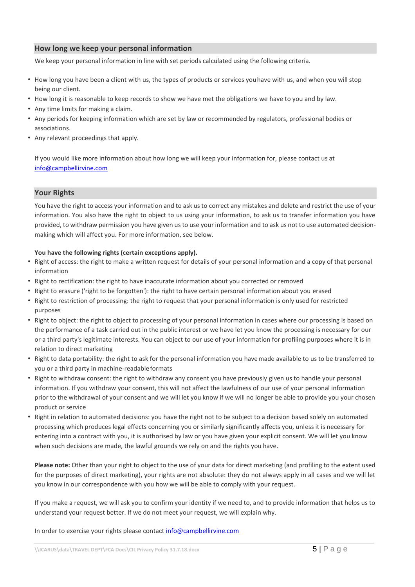# **How long we keep your personal information**

We keep your personal information in line with set periods calculated using the following criteria.

- How long you have been a client with us, the types of products or services youhave with us, and when you will stop being our client.
- How long it is reasonable to keep records to show we have met the obligations we have to you and by law.
- Any time limits for making a claim.
- Any periods for keeping information which are set by law or recommended by regulators, professional bodies or associations.
- Any relevant proceedings that apply.

If you would like more information about how long we will keep your information for, please contact us at [info@campbellirvine.com](mailto:info@campbellirvine.com)

## **Your Rights**

You have the right to access your information and to ask us to correct any mistakes and delete and restrict the use of your information. You also have the right to object to us using your information, to ask us to transfer information you have provided, to withdraw permission you have given us to use your information and to ask us not to use automated decisionmaking which will affect you. For more information, see below.

#### **You have the following rights (certain exceptions apply).**

- Right of access: the right to make a written request for details of your personal information and a copy of that personal information
- Right to rectification: the right to have inaccurate information about you corrected or removed
- Right to erasure ('right to be forgotten'): the right to have certain personal information about you erased
- Right to restriction of processing: the right to request that your personal information is only used for restricted purposes
- Right to object: the right to object to processing of your personal information in cases where our processing is based on the performance of a task carried out in the public interest or we have let you know the processing is necessary for our or a third party's legitimate interests. You can object to our use of your information for profiling purposes where it is in relation to direct marketing
- Right to data portability: the right to ask for the personal information you havemade available to us to be transferred to you or a third party in machine-readable formats
- Right to withdraw consent: the right to withdraw any consent you have previously given us to handle your personal information. If you withdraw your consent, this will not affect the lawfulness of our use of your personal information prior to the withdrawal of your consent and we will let you know if we will no longer be able to provide you your chosen product or service
- Right in relation to automated decisions: you have the right not to be subject to a decision based solely on automated processing which produces legal effects concerning you or similarly significantly affects you, unless it is necessary for entering into a contract with you, it is authorised by law or you have given your explicit consent. We will let you know when such decisions are made, the lawful grounds we rely on and the rights you have.

**Please note:** Other than your right to object to the use of your data for direct marketing (and profiling to the extent used for the purposes of direct marketing), your rights are not absolute: they do not always apply in all cases and we will let you know in our correspondence with you how we will be able to comply with your request.

If you make a request, we will ask you to confirm your identity if we need to, and to provide information that helps us to understand your request better. If we do not meet your request, we will explain why.

In order to exercise your rights please contact [info@campbellirvine.com](mailto:info@campbellirvine.com)